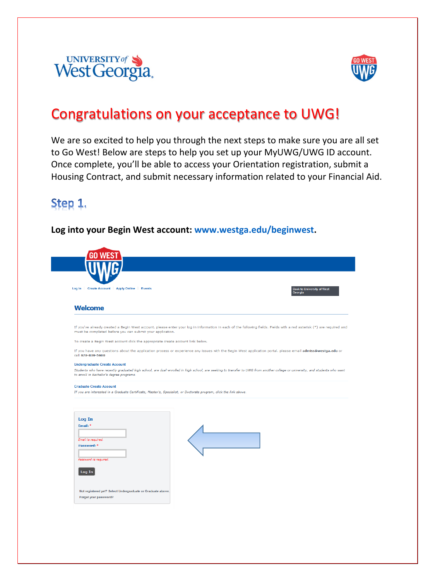



### Congratulations on your acceptance to UWG!

We are so excited to help you through the next steps to make sure you are all set to Go West! Below are steps to help you set up your MyUWG/UWG ID account. Once complete, you'll be able to access your Orientation registration, submit a Housing Contract, and submit necessary information related to your Financial Aid.

### Step 1.

### **Log into your Begin West account: www.westga.edu/beginwest.**

| Log In   Create Account   Apply Online   Events |                                                                                                                                                                                                         |                                                           |                                                                                 |                                                                                                                                                                                                                                                                                                                                                                                                                                                                                                                                                                                                                                           |
|-------------------------------------------------|---------------------------------------------------------------------------------------------------------------------------------------------------------------------------------------------------------|-----------------------------------------------------------|---------------------------------------------------------------------------------|-------------------------------------------------------------------------------------------------------------------------------------------------------------------------------------------------------------------------------------------------------------------------------------------------------------------------------------------------------------------------------------------------------------------------------------------------------------------------------------------------------------------------------------------------------------------------------------------------------------------------------------------|
|                                                 |                                                                                                                                                                                                         |                                                           |                                                                                 | <b>Back to University of West</b><br>Georgia                                                                                                                                                                                                                                                                                                                                                                                                                                                                                                                                                                                              |
|                                                 |                                                                                                                                                                                                         |                                                           |                                                                                 |                                                                                                                                                                                                                                                                                                                                                                                                                                                                                                                                                                                                                                           |
|                                                 |                                                                                                                                                                                                         |                                                           |                                                                                 |                                                                                                                                                                                                                                                                                                                                                                                                                                                                                                                                                                                                                                           |
|                                                 |                                                                                                                                                                                                         |                                                           |                                                                                 |                                                                                                                                                                                                                                                                                                                                                                                                                                                                                                                                                                                                                                           |
|                                                 |                                                                                                                                                                                                         |                                                           |                                                                                 |                                                                                                                                                                                                                                                                                                                                                                                                                                                                                                                                                                                                                                           |
|                                                 |                                                                                                                                                                                                         |                                                           |                                                                                 |                                                                                                                                                                                                                                                                                                                                                                                                                                                                                                                                                                                                                                           |
|                                                 |                                                                                                                                                                                                         |                                                           |                                                                                 |                                                                                                                                                                                                                                                                                                                                                                                                                                                                                                                                                                                                                                           |
|                                                 |                                                                                                                                                                                                         |                                                           |                                                                                 |                                                                                                                                                                                                                                                                                                                                                                                                                                                                                                                                                                                                                                           |
|                                                 |                                                                                                                                                                                                         |                                                           |                                                                                 |                                                                                                                                                                                                                                                                                                                                                                                                                                                                                                                                                                                                                                           |
|                                                 |                                                                                                                                                                                                         |                                                           |                                                                                 |                                                                                                                                                                                                                                                                                                                                                                                                                                                                                                                                                                                                                                           |
|                                                 |                                                                                                                                                                                                         |                                                           |                                                                                 |                                                                                                                                                                                                                                                                                                                                                                                                                                                                                                                                                                                                                                           |
|                                                 |                                                                                                                                                                                                         |                                                           |                                                                                 |                                                                                                                                                                                                                                                                                                                                                                                                                                                                                                                                                                                                                                           |
| Password is required.                           |                                                                                                                                                                                                         |                                                           |                                                                                 |                                                                                                                                                                                                                                                                                                                                                                                                                                                                                                                                                                                                                                           |
| Email: *                                        | <b>Welcome</b><br>call 678-839-5600<br><b>Undergraduate Create Account</b><br>to enroll in Bachelor's degree programs.<br><b>Graduate Create Account</b><br>Log In<br>Email is required.<br>Password: * | must be completed before you can submit your application. | To create a Begin West account click the appropriate create account link below. | If you've already created a Begin West account, please enter your log in information in each of the following fields. Fields with a red asterisk (*) are required and<br>If you have any questions about the application process or experience any issues with the Begin West application portal, please email admiss@westga.edu or<br>Students who have recently graduated high school, are dual-enrolled in high school, are seeking to transfer to UWG from another college or university, and students who want<br>If you are interested in a Graduate Certificate, Master's, Specialist, or Doctorate program, click the link above. |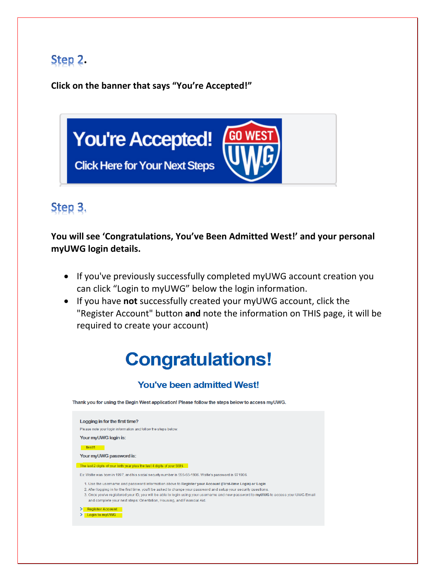## **.**

**Click on the banner that says "You're Accepted!"**



## Step 3.

**You will see 'Congratulations, You've Been Admitted West!' and your personal myUWG login details.** 

- If you've previously successfully completed myUWG account creation you can click "Login to myUWG" below the login information.
- If you have **not** successfully created your myUWG account, click the "Register Account" button **and** note the information on THIS page, it will be required to create your account)

# **Congratulations!**

### **You've been admitted West!**

Thank you for using the Begin West application! Please follow the steps below to access myUWG.

Logging in for the first time? Please note your login information and follow the steps below. Your myUWG login is: **testi1** Your myUWG password is: The last 2 digits of your birth year plus the last 4 digits of your SSN. Ex Wolfie was born in 1997, and his social security number is 555-55-1906. Wolfie's password is 971906. 1. Use the username and password information above to Register your Account (First-time Login) or Login 2. After logging in for the first time, you'll be asked to change your password and setup your security questions 3. Once you've registered your ID, you will be able to login using your username and new password to myUWG to access your UWG Email and complete your next steps: Orientation, Housing, and Financial Aid. > <mark>Register Account<br>> Login to myUWG</mark>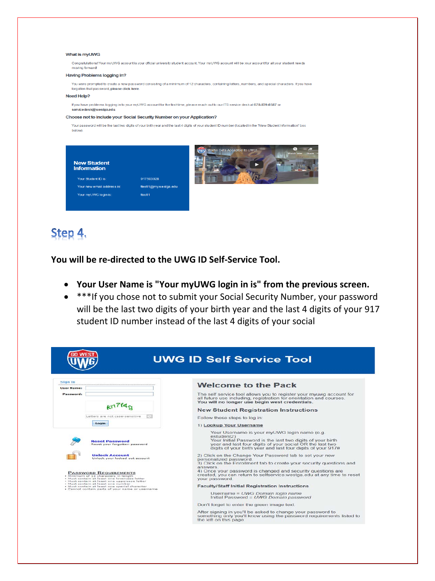#### What is myUWG

Congratulations! Your myUWG account is your official university student account. Your myUWG account will be your account for all your student needs moving forward

#### **Having Problems logging in?**

You were prompted to create a new password consisting of a minimum of 12 characters, containing letters, numbers, and special characters, If you have forgotten that password, please click here

#### Need Help?

If you have problems logging in to your myUWG account for the first-time, please reach out to our ITS service desk at 678-839-6587 or servicedesk@westga.edu

#### Choose not to include your Social Security Number on your Application?

Your password will be the last two digits of your birth year and the last 4 digits of your student ID number (located in the "New Student Information" box below)



### Step 4.

**You will be re-directed to the UWG ID Self-Service Tool.** 

- **Your User Name is "Your myUWG login in is" from the previous screen.**
- \*\*\*If you chose not to submit your Social Security Number, your password will be the last two digits of your birth year and the last 4 digits of your 917 student ID number instead of the last 4 digits of your social

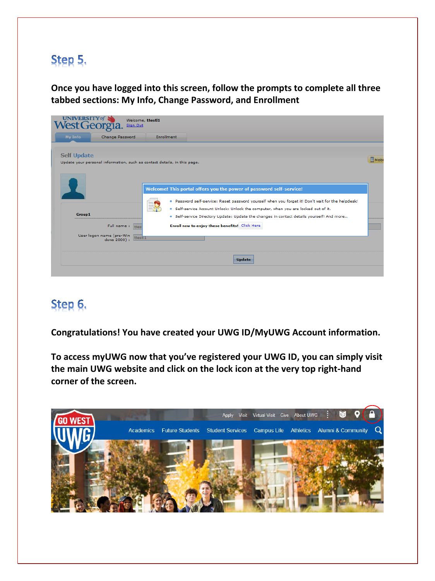## Step 5.

**Once you have logged into this screen, follow the prompts to complete all three tabbed sections: My Info, Change Password, and Enrollment** 

| West Georgia.      | Welcome, ttestl1<br>Sign Out                                                                     |                                                                                                                                                                                                                                                                                                                                                             |      |
|--------------------|--------------------------------------------------------------------------------------------------|-------------------------------------------------------------------------------------------------------------------------------------------------------------------------------------------------------------------------------------------------------------------------------------------------------------------------------------------------------------|------|
| My Info            | Change Password                                                                                  | <b>Enrollment</b>                                                                                                                                                                                                                                                                                                                                           |      |
| <b>Self Update</b> |                                                                                                  | Update your personal information, such as contact details, in this page.                                                                                                                                                                                                                                                                                    | Mobi |
| <b>Group1</b>      |                                                                                                  | Welcome! This portal offers you the power of password self-service!<br>. Password self-service: Reset password yourself when you forget it! Don't wait for the helpdesk!<br>. Self-service Account Unlock: Unlock the computer, when you are locked out of it.<br>. Self-service Directory Update: Update the changes in contact details yourself! And more |      |
|                    | Full name:<br>ttes <sup>®</sup><br>User logon name (pre-Win<br>ttest <sub>1</sub><br>dows 2000): | Enroll now to enjoy these benefits! Click Here                                                                                                                                                                                                                                                                                                              |      |
|                    |                                                                                                  | <b>Update</b>                                                                                                                                                                                                                                                                                                                                               |      |

### Step 6.

**Congratulations! You have created your UWG ID/MyUWG Account information.**

**To access myUWG now that you've registered your UWG ID, you can simply visit the main UWG website and click on the lock icon at the very top right-hand corner of the screen.**